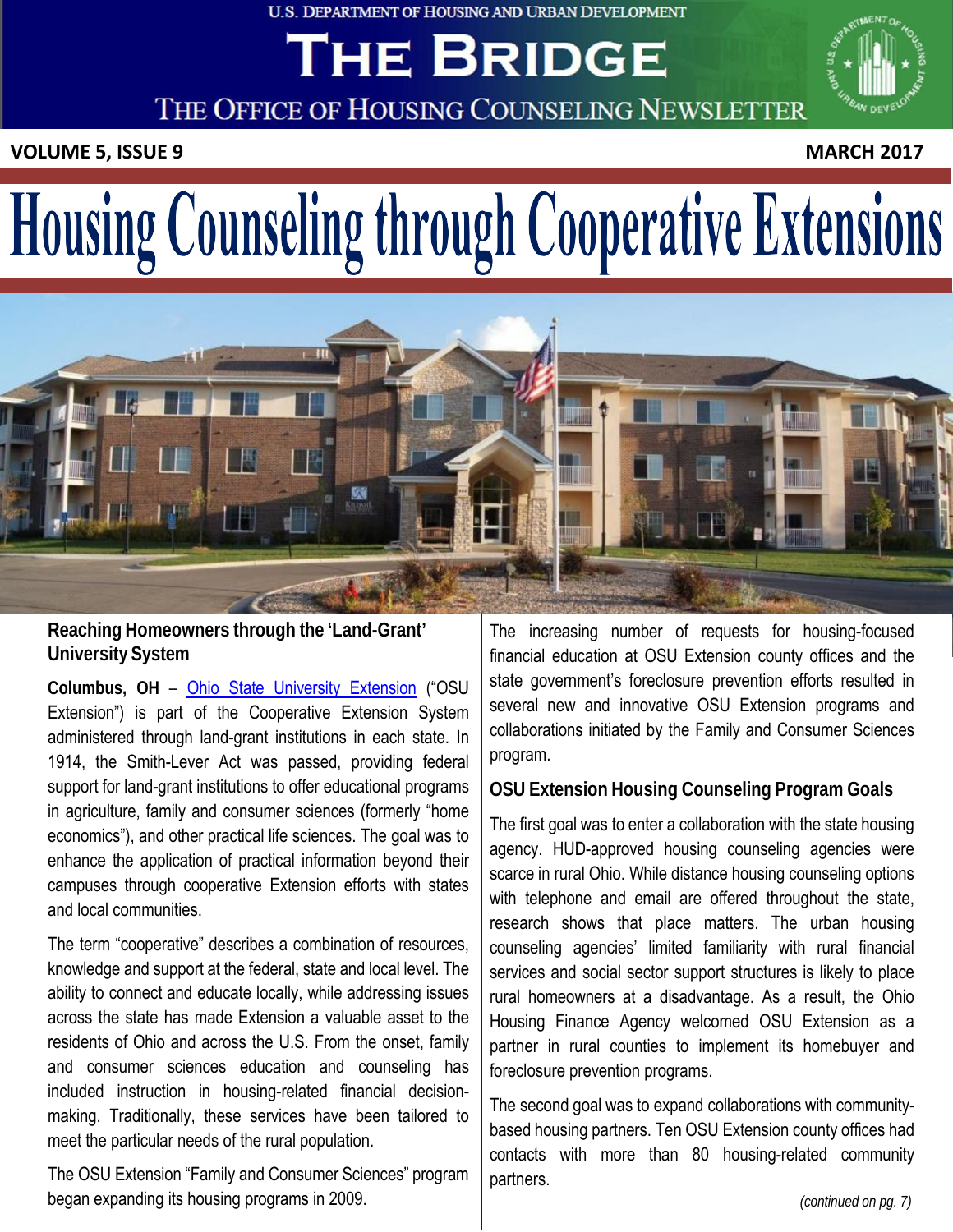#### U.S. DEPARTMENT OF HOUSING AND URBAN DEVELOPMENT

# THE BRIDGE



THE OFFICE OF HOUSING COUNSELING NEWSLETTER

**VOLUME 5, ISSUE 9 MARCH 2017**

# Housing Counseling through Cooperative Extensions



**Reaching Homeowners through the 'Land-Grant' University System**

**Columbus, OH** – Ohio State University [Extension](https://extension.osu.edu/) ("OSU Extension") is part of the Cooperative Extension System administered through land-grant institutions in each state. In 1914, the Smith-Lever Act was passed, providing federal support for land-grant institutions to offer educational programs in agriculture, family and consumer sciences (formerly "home economics"), and other practical life sciences. The goal was to enhance the application of practical information beyond their campuses through cooperative Extension efforts with states and local communities.

The term "cooperative" describes a combination of resources, knowledge and support at the federal, state and local level. The ability to connect and educate locally, while addressing issues across the state has made Extension a valuable asset to the residents of Ohio and across the U.S. From the onset, family and consumer sciences education and counseling has included instruction in housing-related financial decisionmaking. Traditionally, these services have been tailored to meet the particular needs of the rural population.

The OSU Extension "Family and Consumer Sciences" program began expanding its housing programs in 2009.

The increasing number of requests for housing-focused financial education at OSU Extension county offices and the state government's foreclosure prevention efforts resulted in several new and innovative OSU Extension programs and collaborations initiated by the Family and Consumer Sciences program.

### **OSU Extension Housing Counseling Program Goals**

The first goal was to enter a collaboration with the state housing agency. HUD-approved housing counseling agencies were scarce in rural Ohio. While distance housing counseling options with telephone and email are offered throughout the state, research shows that place matters. The urban housing counseling agencies' limited familiarity with rural financial services and social sector support structures is likely to place rural homeowners at a disadvantage. As a result, the Ohio Housing Finance Agency welcomed OSU Extension as a partner in rural counties to implement its homebuyer and foreclosure prevention programs.

The second goal was to expand collaborations with communitybased housing partners. Ten OSU Extension county offices had contacts with more than 80 housing-related community partners.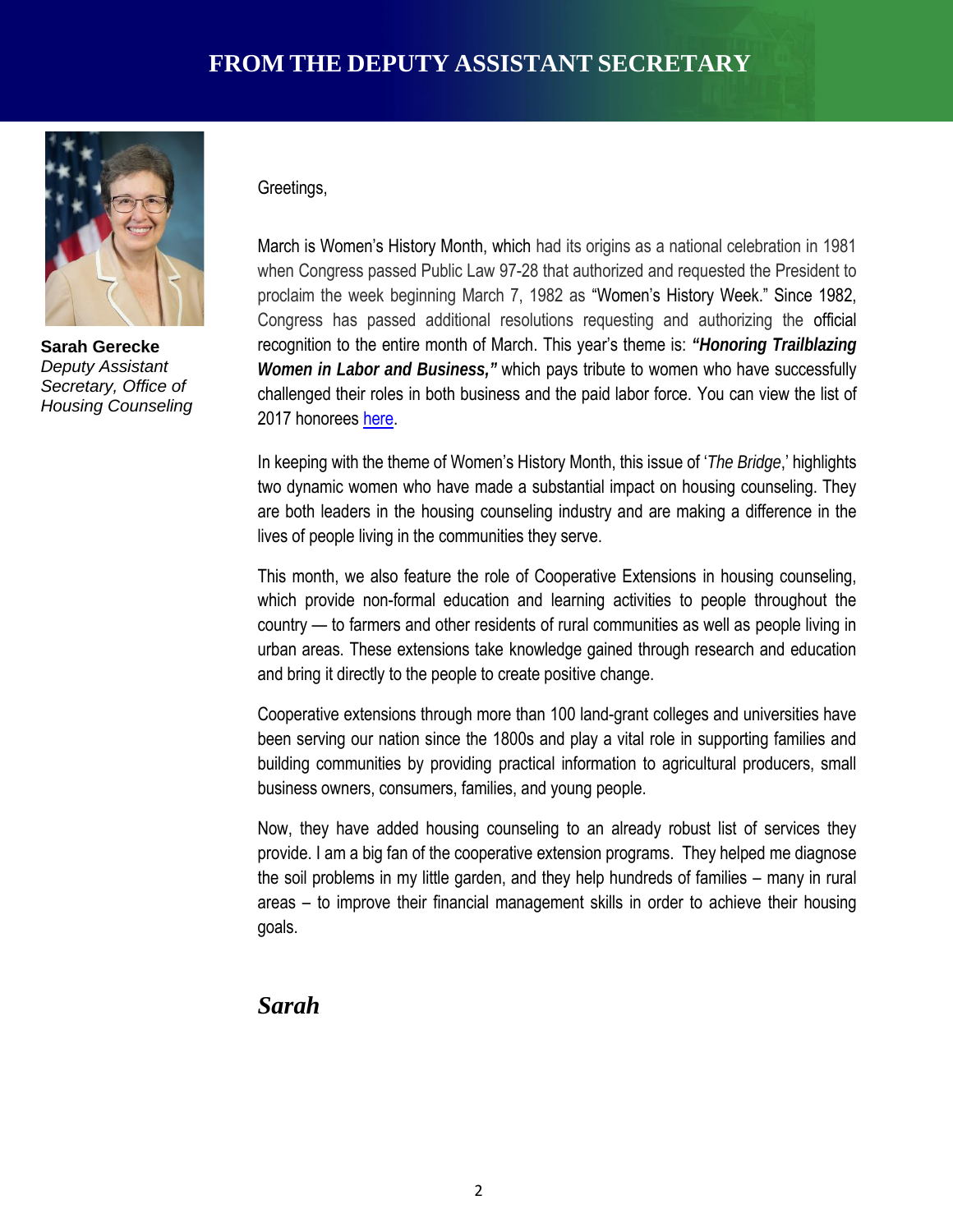

**Sarah Gerecke** *Deputy Assistant Secretary, Office of Housing Counseling*

#### Greetings,

March is Women's History Month, which had its origins as a national celebration in 1981 when Congress passed Public Law 97-28 that authorized and requested the President to proclaim the week beginning March 7, 1982 as "Women's History Week." Since 1982, Congress has passed additional resolutions requesting and authorizing the official recognition to the entire month of March. This year's theme is: *"Honoring Trailblazing Women in Labor and Business,"* which pays tribute to women who have successfully challenged their roles in both business and the paid labor force. You can view the list of 2017 honorees [here.](http://www.nwhp.org/womens-history-month/2017-honoree-nominations/)

In keeping with the theme of Women's History Month, this issue of '*The Bridge*,' highlights two dynamic women who have made a substantial impact on housing counseling. They are both leaders in the housing counseling industry and are making a difference in the lives of people living in the communities they serve.

This month, we also feature the role of Cooperative Extensions in housing counseling, which provide non-formal education and learning activities to people throughout the country — to farmers and other residents of rural communities as well as people living in urban areas. These extensions take knowledge gained through research and education and bring it directly to the people to create positive change.

Cooperative extensions through more than 100 land-grant colleges and universities have been serving our nation since the 1800s and play a vital role in supporting families and building communities by providing practical information to agricultural producers, small business owners, consumers, families, and young people.

Now, they have added housing counseling to an already robust list of services they provide. I am a big fan of the cooperative extension programs. They helped me diagnose the soil problems in my little garden, and they help hundreds of families – many in rural areas – to improve their financial management skills in order to achieve their housing goals.

#### *Sarah*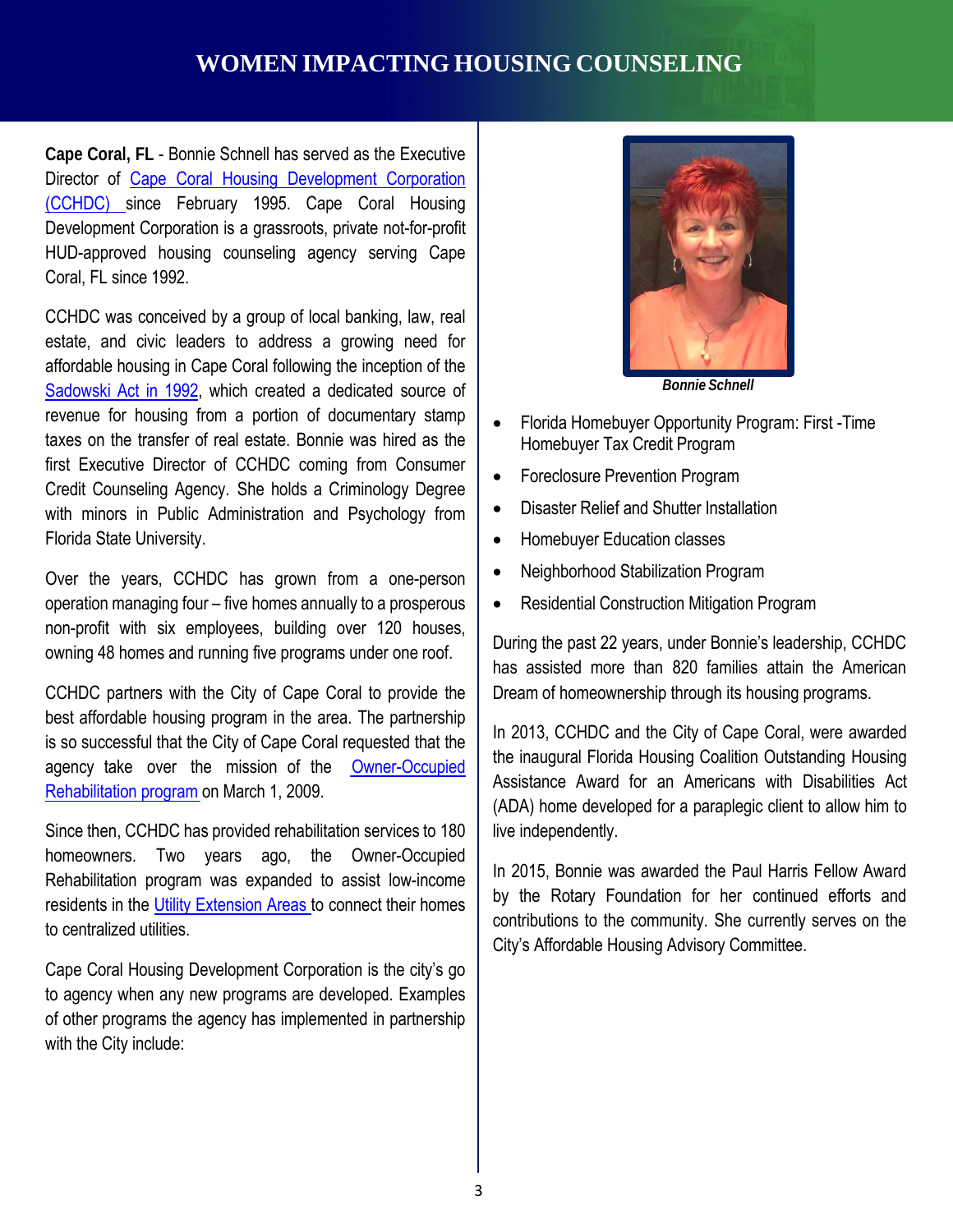# **WOMEN IMPACTING HOUSING COUNSELING**

**Cape Coral, FL** - Bonnie Schnell has served as the Executive Director of Cape Coral Housing [Development](http://capecoralaffordablehousing.org/home/) Corporation [\(CCHDC\)](http://capecoralaffordablehousing.org/home/) since February 1995. Cape Coral Housing Development Corporation is a grassroots, private not-for-profit HUD-approved housing counseling agency serving Cape Coral, FL since 1992.

CCHDC was conceived by a group of local banking, law, real estate, and civic leaders to address a growing need for affordable housing in Cape Coral following the inception of the [Sadowski](http://www.floridahousing.org/FH-ImageWebDocs/AboutUS/SadowskiAct_Outline.pdf) Act in 1992, which created a dedicated source of revenue for housing from a portion of documentary stamp taxes on the transfer of real estate. Bonnie was hired as the first Executive Director of CCHDC coming from Consumer Credit Counseling Agency. She holds a Criminology Degree with minors in Public Administration and Psychology from Florida State University.

Over the years, CCHDC has grown from a one-person operation managing four – five homes annually to a prosperous non-profit with six employees, building over 120 houses, owning 48 homes and running five programs under one roof.

CCHDC partners with the City of Cape Coral to provide the best affordable housing program in the area. The partnership is so successful that the City of Cape Coral requested that the agency take over the mission of the [Owner-Occupied](http://www.capecoralaffordablehousing.org/programs/index.php?page=program3) [Rehabilitation](http://www.capecoralaffordablehousing.org/programs/index.php?page=program3) program on March 1, 2009.

Since then, CCHDC has provided rehabilitation services to 180 homeowners. Two years ago, the Owner-Occupied Rehabilitation program was expanded to assist low-income residents in the Utility [Extension](http://www.capecoral.net/department/utilities_department/utilities_extension_projects/index.php#.WNlgNf7fOJD) Areas to connect their homes to centralized utilities.

Cape Coral Housing Development Corporation is the city's go to agency when any new programs are developed. Examples of other programs the agency has implemented in partnership with the City include:



*Bonnie Schnell*

- Florida Homebuyer Opportunity Program: First -Time Homebuyer Tax Credit Program
- Foreclosure Prevention Program
- Disaster Relief and Shutter Installation
- Homebuyer Education classes
- Neighborhood Stabilization Program
- Residential Construction Mitigation Program

During the past 22 years, under Bonnie's leadership, CCHDC has assisted more than 820 families attain the American Dream of homeownership through its housing programs.

In 2013, CCHDC and the City of Cape Coral, were awarded the inaugural Florida Housing Coalition Outstanding Housing Assistance Award for an Americans with Disabilities Act (ADA) home developed for a paraplegic client to allow him to live independently.

In 2015, Bonnie was awarded the Paul Harris Fellow Award by the Rotary Foundation for her continued efforts and contributions to the community. She currently serves on the City's Affordable Housing Advisory Committee.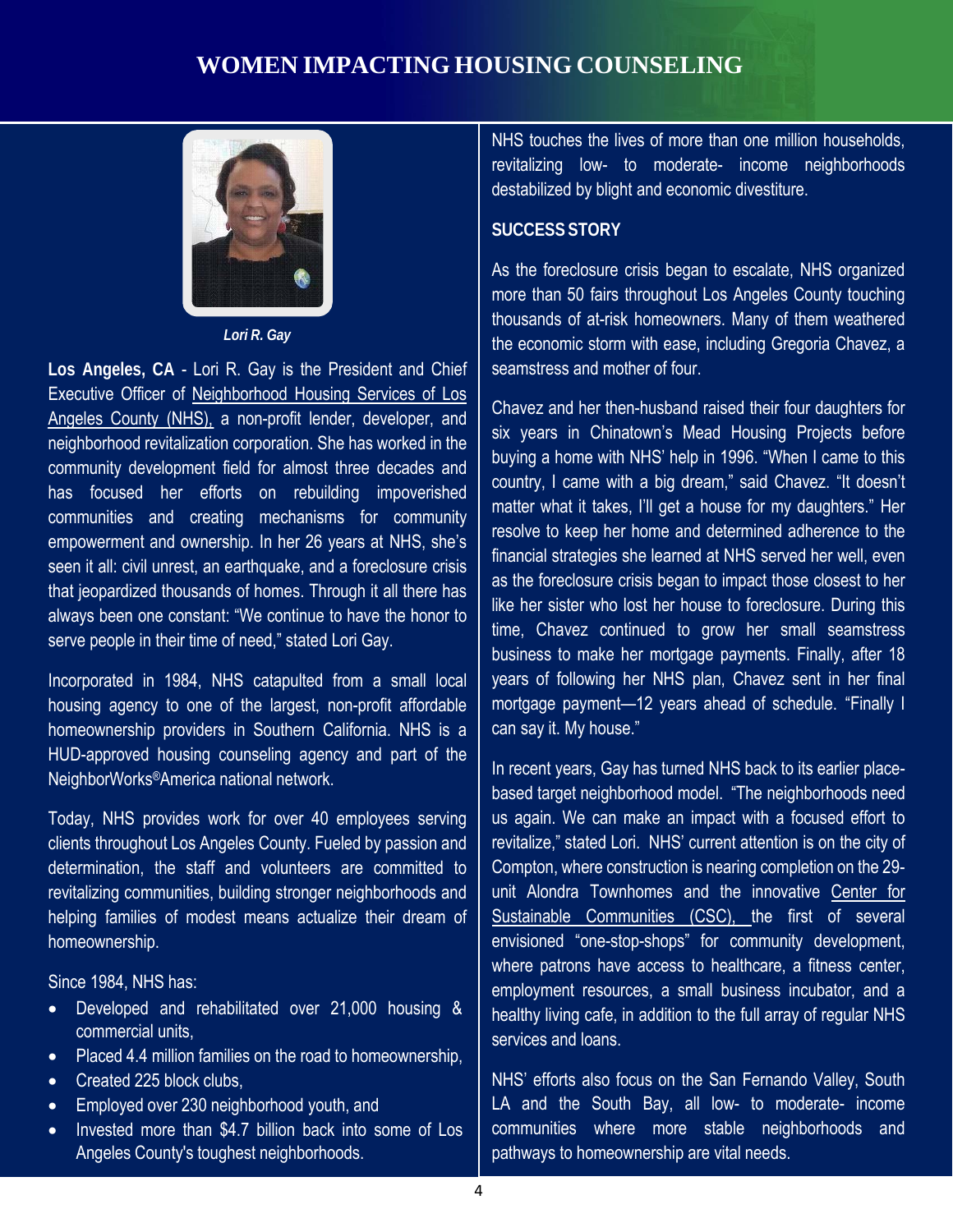# **WOMEN IMPACTING HOUSING COUNSELING**



*Lori R. Gay*

**Los Angeles, CA** - Lori R. Gay is the President and Chief Executive Officer of [Neighborhood](http://www.nhslacounty.org/) Housing Services of Los [Angeles](http://www.nhslacounty.org/) County (NHS), a non-profit lender, developer, and neighborhood revitalization corporation. She has worked in the community development field for almost three decades and has focused her efforts on rebuilding impoverished communities and creating mechanisms for community empowerment and ownership. In her 26 years at NHS, she's seen it all: civil unrest, an earthquake, and a foreclosure crisis that jeopardized thousands of homes. Through it all there has always been one constant: "We continue to have the honor to serve people in their time of need," stated Lori Gay.

Incorporated in 1984, NHS catapulted from a small local housing agency to one of the largest, non-profit affordable homeownership providers in Southern California. NHS is a HUD-approved housing counseling agency and part of the NeighborWorks®America national network.

Today, NHS provides work for over 40 employees serving clients throughout Los Angeles County. Fueled by passion and determination, the staff and volunteers are committed to revitalizing communities, building stronger neighborhoods and helping families of modest means actualize their dream of homeownership.

Since 1984, NHS has:

- Developed and rehabilitated over 21,000 housing & commercial units,
- Placed 4.4 million families on the road to homeownership,
- Created 225 block clubs.
- Employed over 230 neighborhood youth, and
- Invested more than \$4.7 billion back into some of Los Angeles County's toughest neighborhoods.

NHS touches the lives of more than one million households, revitalizing low- to moderate- income neighborhoods destabilized by blight and economic divestiture.

#### **SUCCESS STORY**

As the foreclosure crisis began to escalate, NHS organized more than 50 fairs throughout Los Angeles County touching thousands of at-risk homeowners. Many of them weathered the economic storm with ease, including Gregoria Chavez, a seamstress and mother of four.

Chavez and her then-husband raised their four daughters for six years in Chinatown's Mead Housing Projects before buying a home with NHS' help in 1996. "When I came to this country, I came with a big dream," said Chavez. "It doesn't matter what it takes, I'll get a house for my daughters." Her resolve to keep her home and determined adherence to the financial strategies she learned at NHS served her well, even as the foreclosure crisis began to impact those closest to her like her sister who lost her house to foreclosure. During this time, Chavez continued to grow her small seamstress business to make her mortgage payments. Finally, after 18 years of following her NHS plan, Chavez sent in her final mortgage payment—12 years ahead of schedule. "Finally I can say it. My house."

In recent years, Gay has turned NHS back to its earlier placebased target neighborhood model. "The neighborhoods need us again. We can make an impact with a focused effort to revitalize," stated Lori. NHS' current attention is on the city of Compton, where construction is nearing completion on the 29 unit Alondra Townhomes and the innovative [Center](http://www.nhslacounty.org/sitecontent/Sustainable_Communities_Initiative_web.pdf) for [Sustainable Communities](http://www.nhslacounty.org/sitecontent/Sustainable_Communities_Initiative_web.pdf) (CSC), the first of several envisioned "one-stop-shops" for community development, where patrons have access to healthcare, a fitness center, employment resources, a small business incubator, and a healthy living cafe, in addition to the full array of regular NHS services and loans.

NHS' efforts also focus on the San Fernando Valley, South LA and the South Bay, all low- to moderate- income communities where more stable neighborhoods and pathways to homeownership are vital needs.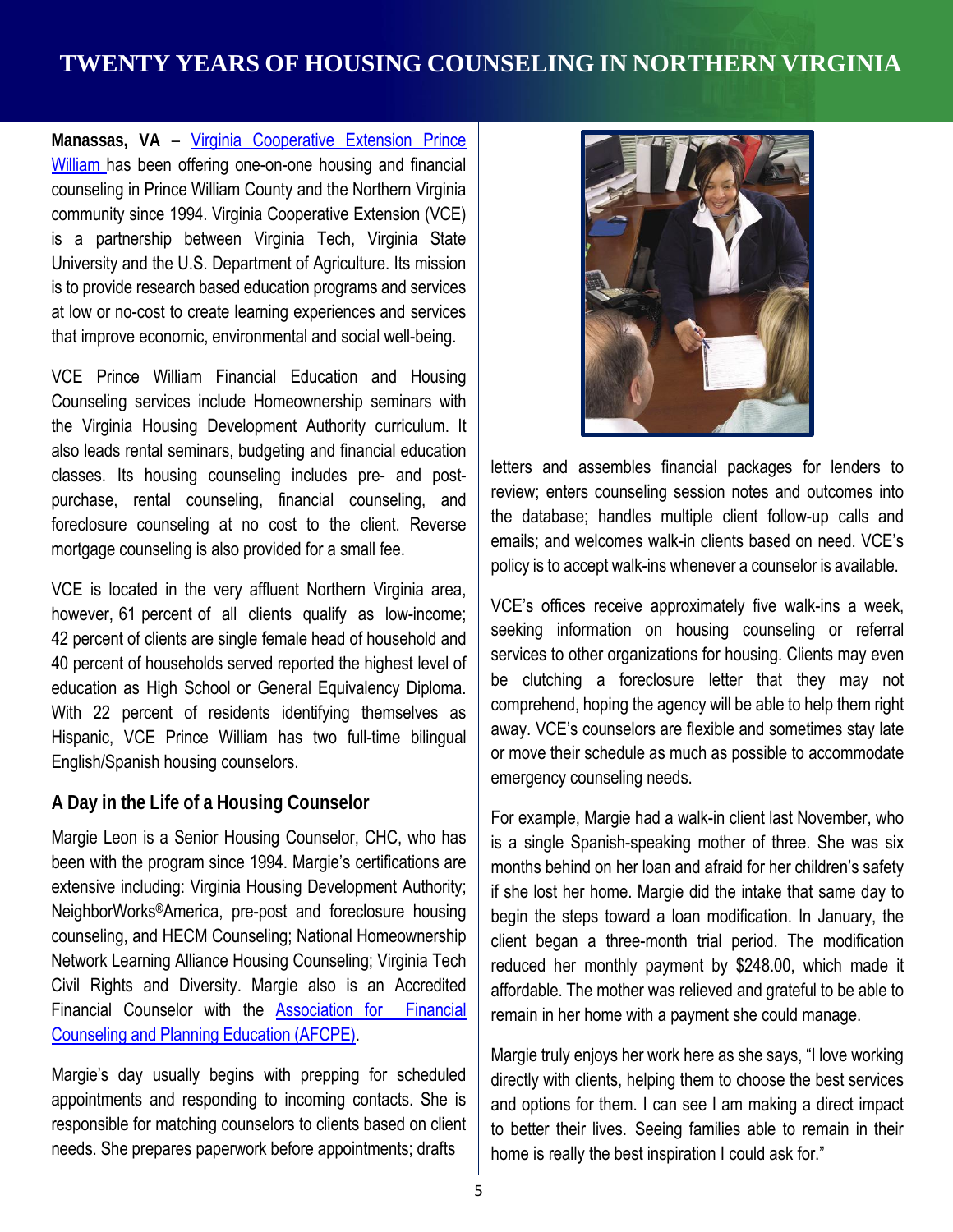# **TWENTY YEARS OF HOUSING COUNSELING IN NORTHERN VIRGINIA**

**Manassas, VA** – Virginia [Cooperative](http://www.pwcgov.org/government/dept/vce/pages/about%20us%20page.aspx) Extension Prince [William](http://www.pwcgov.org/government/dept/vce/pages/about%20us%20page.aspx) has been offering one-on-one housing and financial counseling in Prince William County and the Northern Virginia community since 1994. Virginia Cooperative Extension (VCE) is a partnership between Virginia Tech, Virginia State University and the U.S. Department of Agriculture. Its mission is to provide research based education programs and services at low or no-cost to create learning experiences and services that improve economic, environmental and social well-being.

VCE Prince William Financial Education and Housing Counseling services include Homeownership seminars with the Virginia Housing Development Authority curriculum. It also leads rental seminars, budgeting and financial education classes. Its housing counseling includes pre- and postpurchase, rental counseling, financial counseling, and foreclosure counseling at no cost to the client. Reverse mortgage counseling is also provided for a small fee.

VCE is located in the very affluent Northern Virginia area, however, 61 percent of all clients qualify as low-income; 42 percent of clients are single female head of household and 40 percent of households served reported the highest level of education as High School or General Equivalency Diploma. With 22 percent of residents identifying themselves as Hispanic, VCE Prince William has two full-time bilingual English/Spanish housing counselors.

#### **A Day in the Life of a Housing Counselor**

Margie Leon is a Senior Housing Counselor, CHC, who has been with the program since 1994. Margie's certifications are extensive including: Virginia Housing Development Authority; NeighborWorks®America, pre-post and foreclosure housing counseling, and HECM Counseling; National Homeownership Network Learning Alliance Housing Counseling; Virginia Tech Civil Rights and Diversity. Margie also is an Accredited Financial Counselor with the Association [for Financial](https://www.afcpe.org/) [Counseling](https://www.afcpe.org/) and Planning Education (AFCPE).

Margie's day usually begins with prepping for scheduled appointments and responding to incoming contacts. She is responsible for matching counselors to clients based on client needs. She prepares paperwork before appointments; drafts



letters and assembles financial packages for lenders to review; enters counseling session notes and outcomes into the database; handles multiple client follow-up calls and emails; and welcomes walk-in clients based on need. VCE's policy is to accept walk-ins whenever a counselor is available.

VCE's offices receive approximately five walk-ins a week, seeking information on housing counseling or referral services to other organizations for housing. Clients may even be clutching a foreclosure letter that they may not comprehend, hoping the agency will be able to help them right away. VCE's counselors are flexible and sometimes stay late or move their schedule as much as possible to accommodate emergency counseling needs.

For example, Margie had a walk-in client last November, who is a single Spanish-speaking mother of three. She was six months behind on her loan and afraid for her children's safety if she lost her home. Margie did the intake that same day to begin the steps toward a loan modification. In January, the client began a three-month trial period. The modification reduced her monthly payment by \$248.00, which made it affordable. The mother was relieved and grateful to be able to remain in her home with a payment she could manage.

Margie truly enjoys her work here as she says, "I love working directly with clients, helping them to choose the best services and options for them. I can see I am making a direct impact to better their lives. Seeing families able to remain in their home is really the best inspiration I could ask for."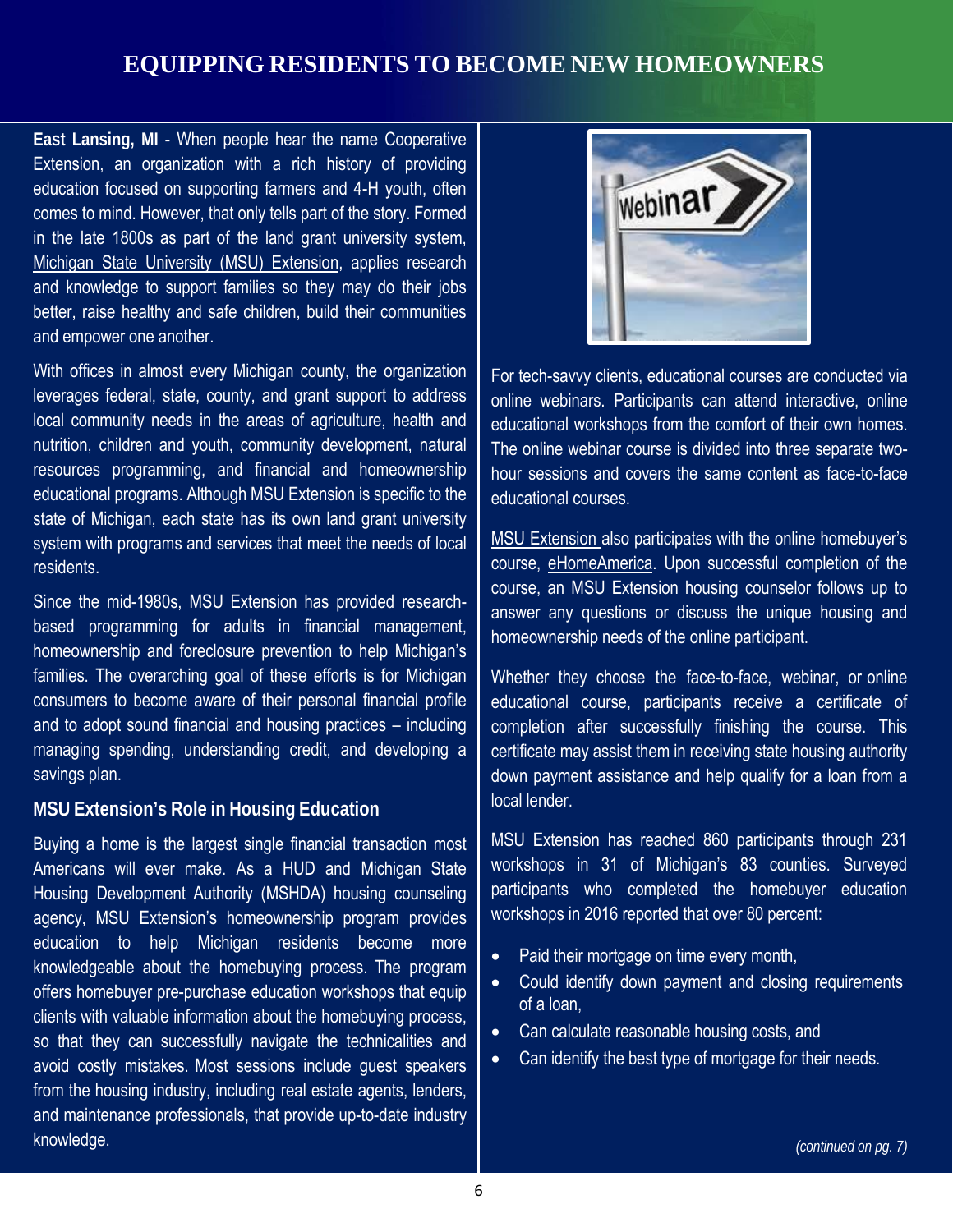# **EQUIPPING RESIDENTS TO BECOME NEW HOMEOWNERS**

**East Lansing, MI** - When people hear the name Cooperative Extension, an organization with a rich history of providing education focused on supporting farmers and 4-H youth, often comes to mind. However, that only tells part of the story. Formed in the late 1800s as part of the land grant university system, Michigan State University (MSU) [Extension,](http://msue.anr.msu.edu/) applies research and knowledge to support families so they may do their jobs better, raise healthy and safe children, build their communities and empower one another.

With offices in almost every Michigan county, the organization leverages federal, state, county, and grant support to address local community needs in the areas of agriculture, health and nutrition, children and youth, community development, natural resources programming, and financial and homeownership educational programs. Although MSU Extension is specific to the state of Michigan, each state has its own land grant university system with programs and services that meet the needs of local residents.

Since the mid-1980s, MSU Extension has provided researchbased programming for adults in financial management, homeownership and foreclosure prevention to help Michigan's families. The overarching goal of these efforts is for Michigan consumers to become aware of their personal financial profile and to adopt sound financial and housing practices – including managing spending, understanding credit, and developing a savings plan.

#### **MSU Extension's Role in Housing Education**

Buying a home is the largest single financial transaction most Americans will ever make. As a HUD and Michigan State Housing Development Authority (MSHDA) housing counseling agency, [MSU Extension's](http://msue.anr.msu.edu/) homeownership program provides education to help Michigan residents become more knowledgeable about the homebuying process. The program offers homebuyer pre-purchase education workshops that equip clients with valuable information about the homebuying process, so that they can successfully navigate the technicalities and avoid costly mistakes. Most sessions include guest speakers from the housing industry, including real estate agents, lenders, and maintenance professionals, that provide up-to-date industry knowledge.



For tech-savvy clients, educational courses are conducted via online webinars. Participants can attend interactive, online educational workshops from the comfort of their own homes. The online webinar course is divided into three separate twohour sessions and covers the same content as face-to-face educational courses.

MSU [Extension](http://msue.anr.msu.edu/) also participates with the online homebuyer's course, [eHomeAmerica.](https://www.ehomeamerica.org/msue) Upon successful completion of the course, an MSU Extension housing counselor follows up to answer any questions or discuss the unique housing and homeownership needs of the online participant.

Whether they choose the face-to-face, webinar, or online educational course, participants receive a certificate of completion after successfully finishing the course. This certificate may assist them in receiving state housing authority down payment assistance and help qualify for a loan from a local lender.

MSU Extension has reached 860 participants through 231 workshops in 31 of Michigan's 83 counties. Surveyed participants who completed the homebuyer education workshops in 2016 reported that over 80 percent:

- Paid their mortgage on time every month,
- Could identify down payment and closing requirements of a loan,
- Can calculate reasonable housing costs, and
- Can identify the best type of mortgage for their needs.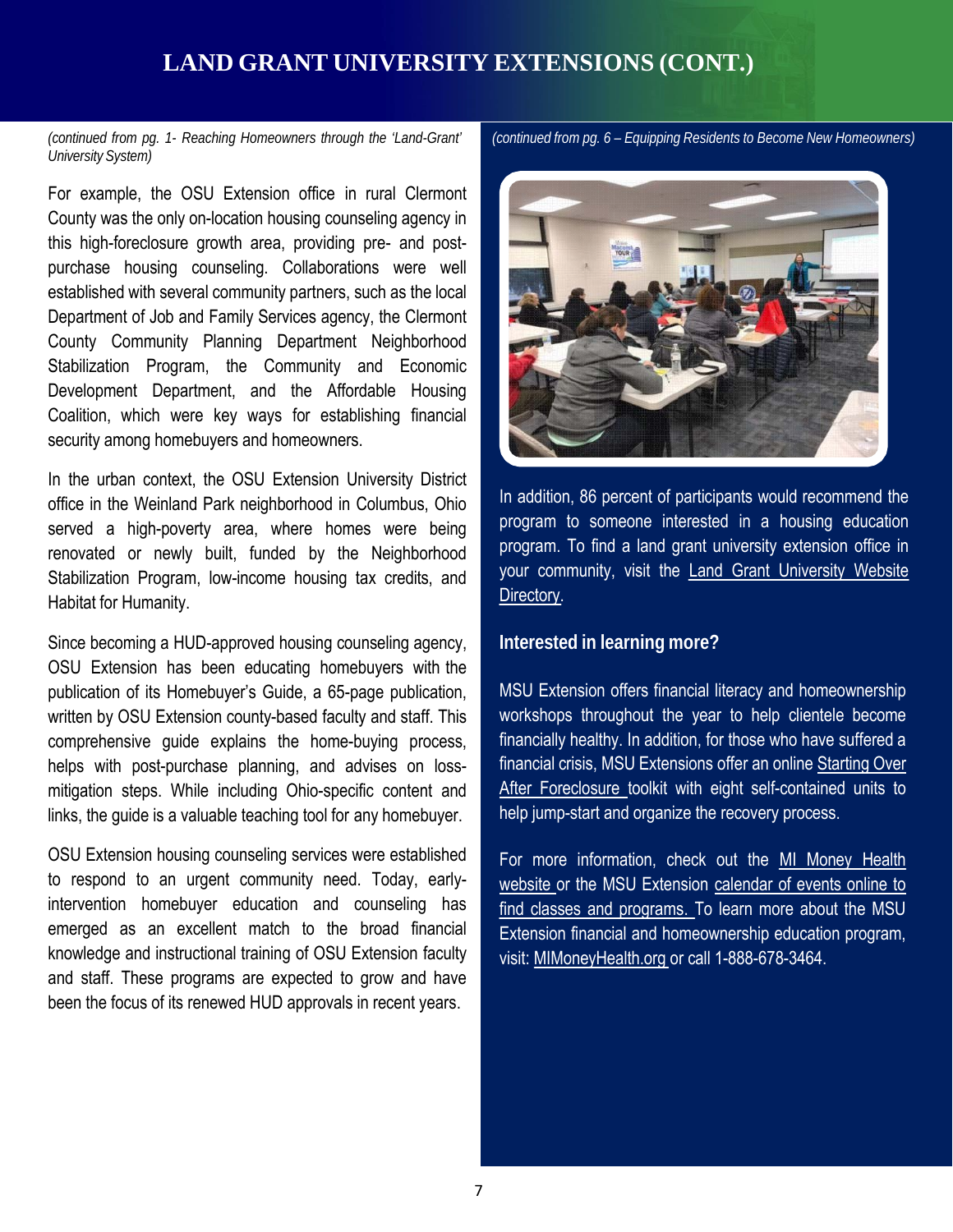# **LAND GRANT UNIVERSITY EXTENSIONS (CONT.)**

*(continued from pg. 1- Reaching Homeowners through the 'Land-Grant' University System)*

For example, the OSU Extension office in rural Clermont County was the only on-location housing counseling agency in this high-foreclosure growth area, providing pre- and postpurchase housing counseling. Collaborations were well established with several community partners, such as the local Department of Job and Family Services agency, the Clermont County Community Planning Department Neighborhood Stabilization Program, the Community and Economic Development Department, and the Affordable Housing Coalition, which were key ways for establishing financial security among homebuyers and homeowners.

In the urban context, the OSU Extension University District office in the Weinland Park neighborhood in Columbus, Ohio served a high-poverty area, where homes were being renovated or newly built, funded by the Neighborhood Stabilization Program, low-income housing tax credits, and Habitat for Humanity.

Since becoming a HUD-approved housing counseling agency, OSU Extension has been educating homebuyers with the publication of its Homebuyer's Guide, a 65-page publication, written by OSU Extension county-based faculty and staff. This comprehensive guide explains the home-buying process, helps with post-purchase planning, and advises on lossmitigation steps. While including Ohio-specific content and links, the guide is a valuable teaching tool for any homebuyer.

OSU Extension housing counseling services were established to respond to an urgent community need. Today, earlyintervention homebuyer education and counseling has emerged as an excellent match to the broad financial knowledge and instructional training of OSU Extension faculty and staff. These programs are expected to grow and have been the focus of its renewed HUD approvals in recent years.

*(continued from pg. 6 – Equipping Residents to Become New Homeowners)*



In addition, 86 percent of participants would recommend the program to someone interested in a housing education program. To find a land grant university extension office in your community, visit the Land Grant [University](https://nifa.usda.gov/land-grant-colleges-and-universities-partner-website-directory) Website [Directory.](https://nifa.usda.gov/land-grant-colleges-and-universities-partner-website-directory)

#### **Interested in learning more?**

MSU Extension offers financial literacy and homeownership workshops throughout the year to help clientele become financially healthy. In addition, for those who have suffered a financial crisis, MSU Extensions offer an online [Starting](http://msue.anr.msu.edu/program/mimoneyhealth/startingover) Over After [Foreclosure](http://msue.anr.msu.edu/program/mimoneyhealth/startingover) toolkit with eight self-contained units to help jump-start and organize the recovery process.

For more information, check out the MI Money Health website or the MSU Extension calendar of events online to find classes and programs. To learn more about the MSU Extension financial and homeownership education program, visit: [MIMoneyHealth.org](http://msue.anr.msu.edu/program/info/mimoneyhealth) or call 1-888-678-3464.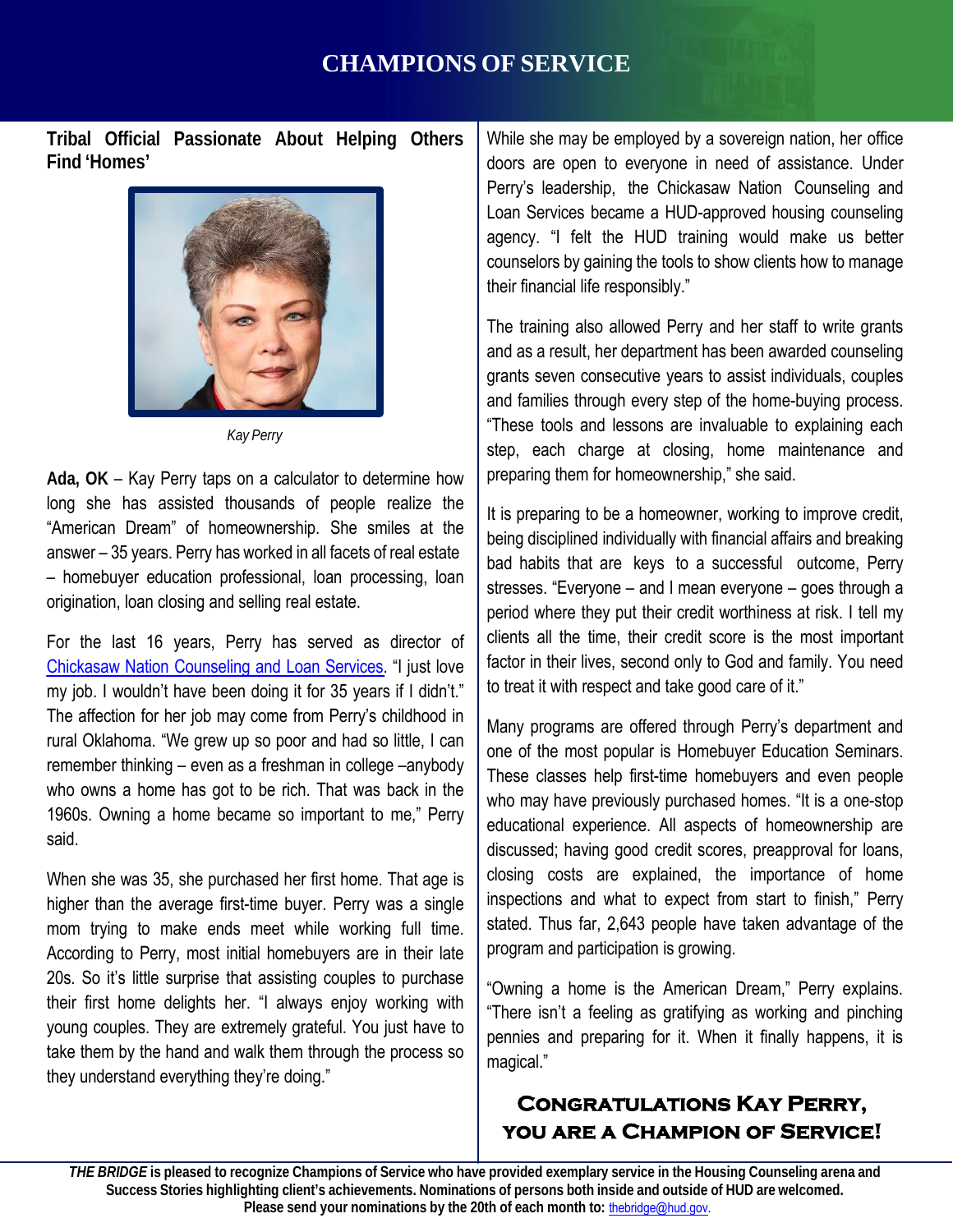# **CHAMPIONS OF SERVICE**

**Tribal Official Passionate About Helping Others Find 'Homes'**



*Kay Perry*

**Ada, OK** – Kay Perry taps on a calculator to determine how long she has assisted thousands of people realize the "American Dream" of homeownership. She smiles at the answer – 35 years. Perry has worked in all facets of real estate – homebuyer education professional, loan processing, loan origination, loan closing and selling real estate.

For the last 16 years, Perry has served as director of Chickasaw Nation [Counseling](https://www.chickasaw.net/Services/Housing-Counseling-and-Loan-Services.aspx) and Loan Services. "I just love my job. I wouldn't have been doing it for 35 years if I didn't." The affection for her job may come from Perry's childhood in rural Oklahoma. "We grew up so poor and had so little, I can remember thinking – even as a freshman in college –anybody who owns a home has got to be rich. That was back in the 1960s. Owning a home became so important to me," Perry said.

When she was 35, she purchased her first home. That age is higher than the average first-time buyer. Perry was a single mom trying to make ends meet while working full time. According to Perry, most initial homebuyers are in their late 20s. So it's little surprise that assisting couples to purchase their first home delights her. "I always enjoy working with young couples. They are extremely grateful. You just have to take them by the hand and walk them through the process so they understand everything they're doing."

While she may be employed by a sovereign nation, her office doors are open to everyone in need of assistance. Under Perry's leadership, the Chickasaw Nation Counseling and Loan Services became a HUD-approved housing counseling agency. "I felt the HUD training would make us better counselors by gaining the tools to show clients how to manage their financial life responsibly."

The training also allowed Perry and her staff to write grants and as a result, her department has been awarded counseling grants seven consecutive years to assist individuals, couples and families through every step of the home-buying process. "These tools and lessons are invaluable to explaining each step, each charge at closing, home maintenance and preparing them for homeownership," she said.

It is preparing to be a homeowner, working to improve credit, being disciplined individually with financial affairs and breaking bad habits that are keys to a successful outcome, Perry stresses. "Everyone – and I mean everyone – goes through a period where they put their credit worthiness at risk. I tell my clients all the time, their credit score is the most important factor in their lives, second only to God and family. You need to treat it with respect and take good care of it."

Many programs are offered through Perry's department and one of the most popular is Homebuyer Education Seminars. These classes help first-time homebuyers and even people who may have previously purchased homes. "It is a one-stop educational experience. All aspects of homeownership are discussed; having good credit scores, preapproval for loans, closing costs are explained, the importance of home inspections and what to expect from start to finish," Perry stated. Thus far, 2,643 people have taken advantage of the program and participation is growing.

"Owning a home is the American Dream," Perry explains. "There isn't a feeling as gratifying as working and pinching pennies and preparing for it. When it finally happens, it is magical."

## **Congratulations Kay Perry, you are a Champion of Service!**

Success Stories highlighting client's achievements. Nominations of persons both inside and outside of HUD are welcomed. THE BRIDGE is pleased to recognize Champions of Service who have provided exemplary service in the Housing Counseling arena and **Please send your nominations by the 20th of each month to:** [thebridge@hud.gov.](mailto:thebridge@hud.gov)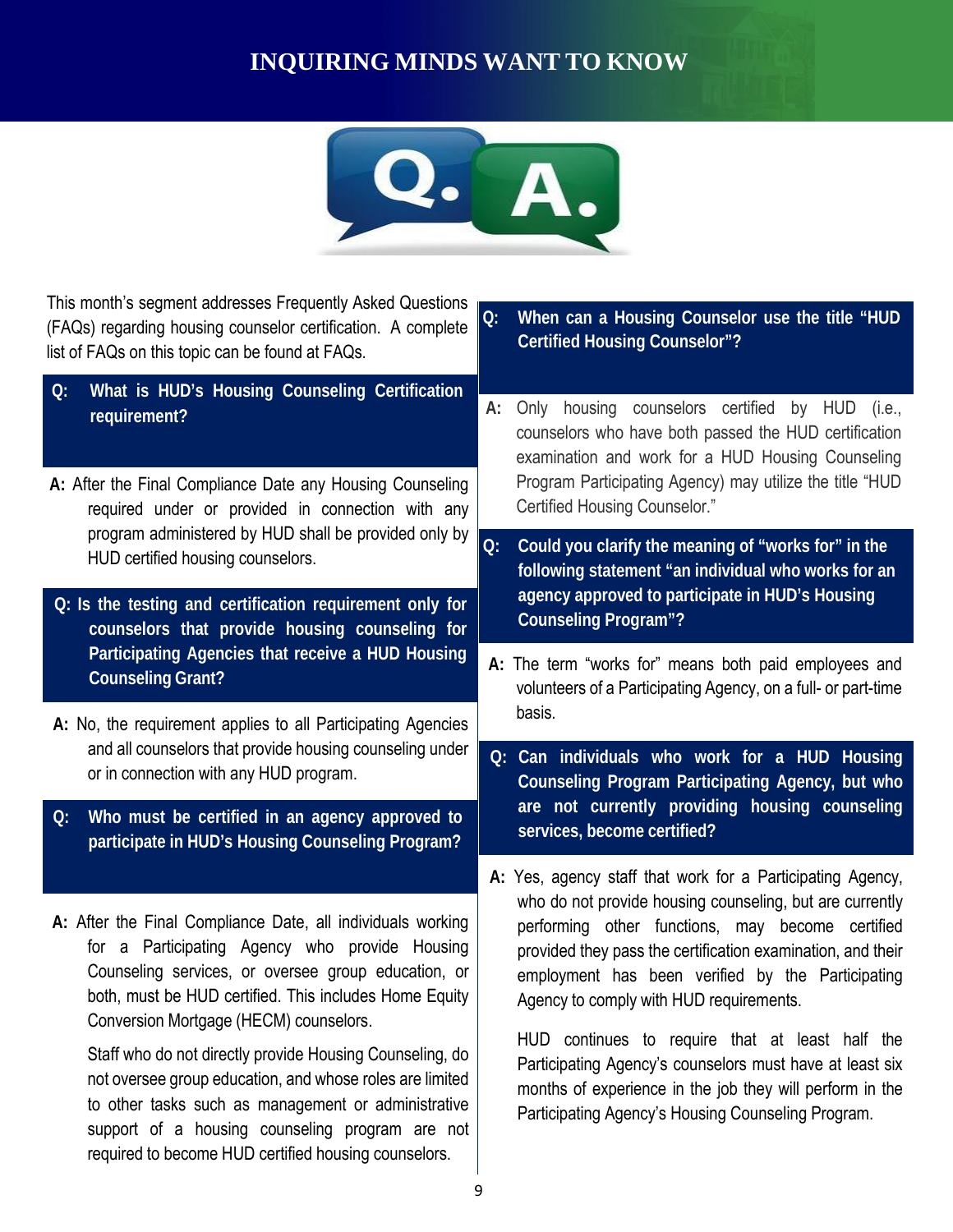# **INQUIRING MINDS WANT TO KNOW**



This month's segment addresses Frequently Asked Questions (FAQs) regarding housing counselor certification. A complete list of FAQs on this topic can be found at FAQs.

- **Q: What is HUD's Housing Counseling Certification**
- **A:** After the Final Compliance Date any Housing Counseling required under or provided in connection with any program administered by HUD shall be provided only by
- **Q: Is the testing and certification requirement only for counselors that provide housing counseling for Participating Agencies that receive a HUD Housing Counseling Grant?**
- A: No, the requirement applies to all Participating Agencies **basis**. and all counselors that provide housing counseling under or in connection with any HUD program.
- **Q: Who must be certified in an agency approved to participate in HUD's Housing Counseling Program?**
- **A:** After the Final Compliance Date, all individuals working for a Participating Agency who provide Housing Counseling services, or oversee group education, or both, must be HUD certified. This includes Home Equity Conversion Mortgage (HECM) counselors.

Staff who do not directly provide Housing Counseling, do not oversee group education, and whose roles are limited to other tasks such as management or administrative support of a housing counseling program are not required to become HUD certified housing counselors.

- **Q: When can a Housing Counselor use the title "HUD Certified Housing Counselor"?**
- **requirement? A:** Only housing counselors certified by HUD (i.e., counselors who have both passed the HUD certification examination and work for a HUD Housing Counseling Program Participating Agency) may utilize the title "HUD Certified Housing Counselor."
- HUD certified housing counselors. **Q: Could you clarify the meaning of "works for" in the following statement "an individual who works for an agency approved to participate in HUD's Housing Counseling Program"?**
	- **A:** The term "works for" means both paid employees and volunteers of a Participating Agency, on a full- or part-time
	- **Q: Can individuals who work for a HUD Housing Counseling Program Participating Agency, but who are not currently providing housing counseling services, become certified?**
	- **A:** Yes, agency staff that work for a Participating Agency, who do not provide housing counseling, but are currently performing other functions, may become certified provided they pass the certification examination, and their employment has been verified by the Participating Agency to comply with HUD requirements.

HUD continues to require that at least half the Participating Agency's counselors must have at least six months of experience in the job they will perform in the Participating Agency's Housing Counseling Program.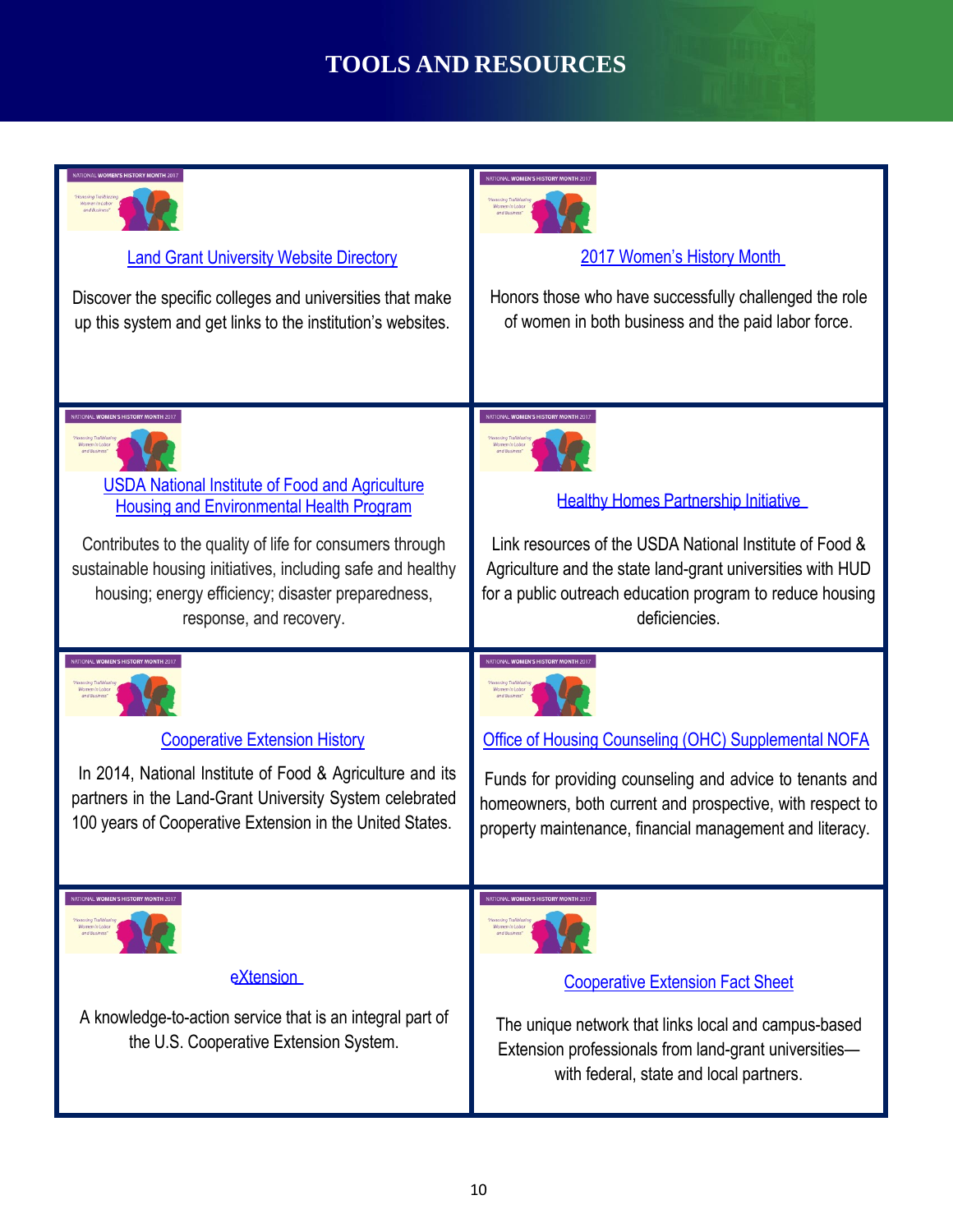# **TOOLS AND RESOURCES**

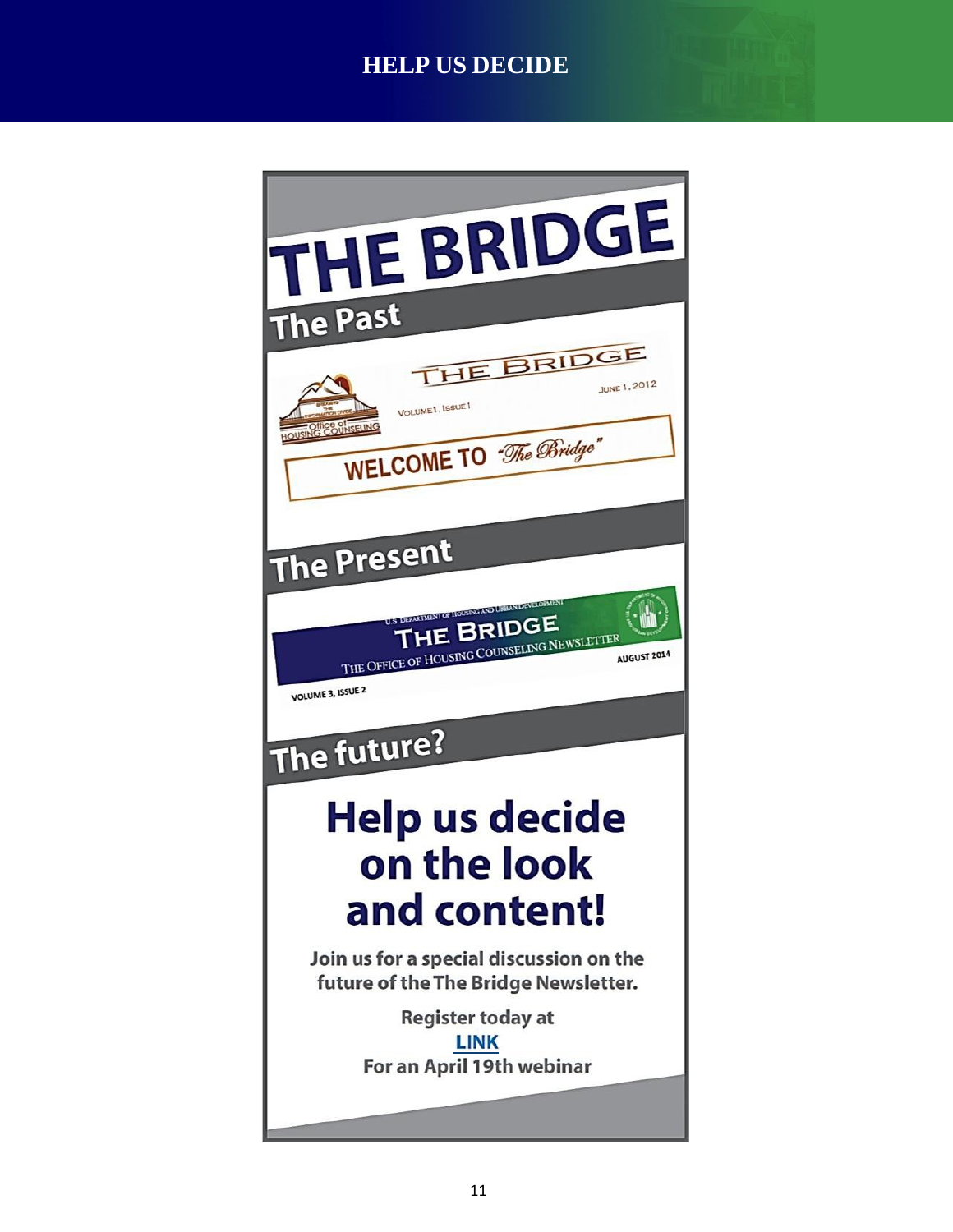# **HELP US DECIDE**